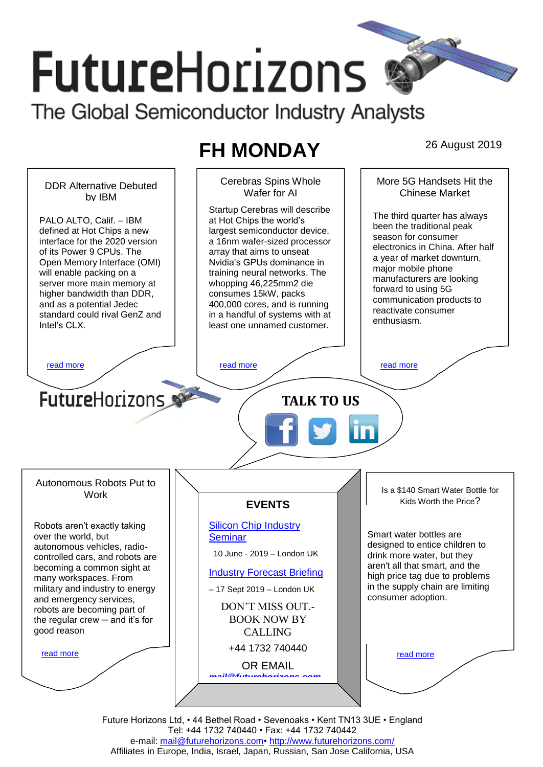# **FutureHorizons** The Global Semiconductor Industry Analysts

## **FH MONDAY** 26 August 2019

Cerebras Spins Whole More 5G Handsets Hit the DDR Alternative Debuted Wafer for AI Chinese Market by IBM Startup Cerebras will describe The third quarter has always PALO ALTO, Calif. – IBM at Hot Chips the world's been the traditional peak defined at Hot Chips a new largest semiconductor device, season for consumer interface for the 2020 version a 16nm wafer-sized processor electronics in China. After half of its Power 9 CPUs. The array that aims to unseat a year of market downturn, Open Memory Interface (OMI) Nvidia's GPUs dominance in major mobile phone will enable packing on a training neural networks. The manufacturers are looking server more main memory at whopping 46,225mm2 die forward to using 5G higher bandwidth than DDR, consumes 15kW, packs communication products to and as a potential Jedec 400,000 cores, and is running reactivate consumer standard could rival GenZ and in a handful of systems with at enthusiasm. Intel's CLX. least one unnamed customer. [read more](#page-1-1) that the second contract the second contract of the read more that the read more that the read more **Future**Horizons **TALK TO US** Autonomous Robots Put to Is a \$140 Smart Water Bottle for Work Kids Worth the Price? **EVENTS** [Silicon Chip Industry](http://www.futurehorizons.com/page/12/silicon-chip-training)  Robots aren't exactly taking Smart water bottles are over the world, but **[Seminar](http://www.futurehorizons.com/page/12/silicon-chip-training)** designed to entice children to autonomous vehicles, radio- 10 June - 2019 – London UK drink more water, but they controlled cars, and robots are aren't all that smart, and the becoming a common sight at [Industry Forecast Briefing](http://www.futurehorizons.com/page/13/Semiconductor-Market-Forecast-Seminar) high price tag due to problems many workspaces. From in the supply chain are limiting military and industry to energy – 17 Sept 2019 – London UK consumer adoption. and emergency services, DON'T MISS OUT. robots are becoming part of BOOK NOW BY the regular crew  $-$  and it's for good reasonCALLING +44 1732 740440 [read more](#page-1-3) [read more](#page-1-4) OR EMAIL *[mail@futurehorizons.com](mailto:mail@futurehorizons.com)*

> Future Horizons Ltd, • 44 Bethel Road • Sevenoaks • Kent TN13 3UE • England Tel: +44 1732 740440 • Fax: +44 1732 740442 e-mail: [mail@futurehorizons.com•](../FH%20Monday%20-%202017/mail@futurehorizons.com)<http://www.futurehorizons.com/> Affiliates in Europe, India, Israel, Japan, Russian, San Jose California, USA